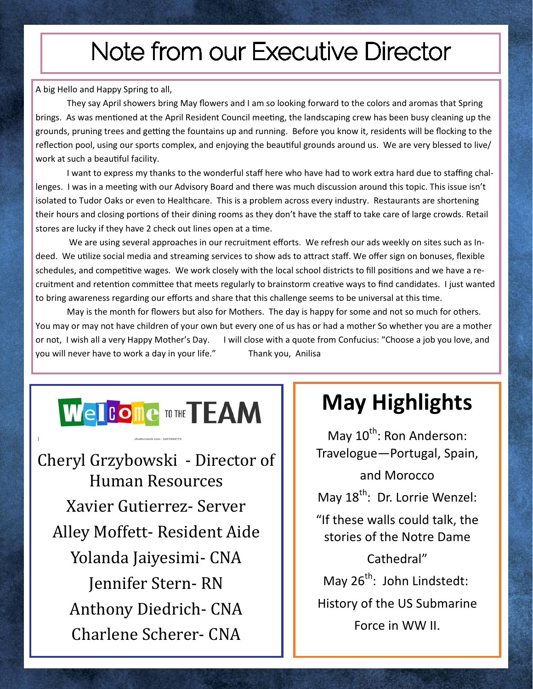## Note from our Executive Director

A big Hello and Happy Spring to all,

They say April showers bring May flowers and I am so looking forward to the colors and aromas that Spring brings. As was mentioned at the April Resident Council meeting, the landscaping crew has been busy cleaning up the grounds, pruning trees and getting the fountains up and running. Before you know it, residents will be flocking to the reflection pool, using our sports complex, and enjoying the beautiful grounds around us. We are very blessed to live/ work at such a beautiful facility.

I want to express my thanks to the wonderful staff here who have had to work extra hard due to staffing challenges. I was in a meeting with our Advisory Board and there was much discussion around this topic. This issue isn't isolated to Tudor Oaks or even to Healthcare. This is a problem across every industry. Restaurants are shortening their hours and closing portions of their dining rooms as they don't have the staff to take care of large crowds. Retail stores are lucky if they have 2 check out lines open at a time.

We are using several approaches in our recruitment efforts. We refresh our ads weekly on sites such as Indeed. We utilize social media and streaming services to show ads to attract staff. We offer sign on bonuses, flexible schedules, and competitive wages. We work closely with the local school districts to fill positions and we have a recruitment and retention committee that meets regularly to brainstorm creative ways to find candidates. I just wanted to bring awareness regarding our efforts and share that this challenge seems to be universal at this time.

May is the month for flowers but also for Mothers. The day is happy for some and not so much for others. You may or may not have children of your own but every one of us has or had a mother So whether you are a mother or not, I wish all a very Happy Mother's Day. I will close with a quote from Confucius: "Choose a job you love, and you will never have to work a day in your life." Thank you, Anilisa

## **Welcome DTHE TEAM**

Cheryl Grzybowski - Director of Human Resources Xavier Gutierrez- Server Alley Moffett- Resident Aide Yolanda Jaiyesimi- CNA Jennifer Stern- RN Anthony Diedrich- CNA Charlene Scherer- CNA

## **May Highlights**

May 10<sup>th</sup>: Ron Anderson: Travelogue—Portugal, Spain, and Morocco May 18<sup>th</sup>: Dr. Lorrie Wenzel: "If these walls could talk, the stories of the Notre Dame Cathedral" May 26<sup>th</sup>: John Lindstedt: History of the US Submarine Force in WW II.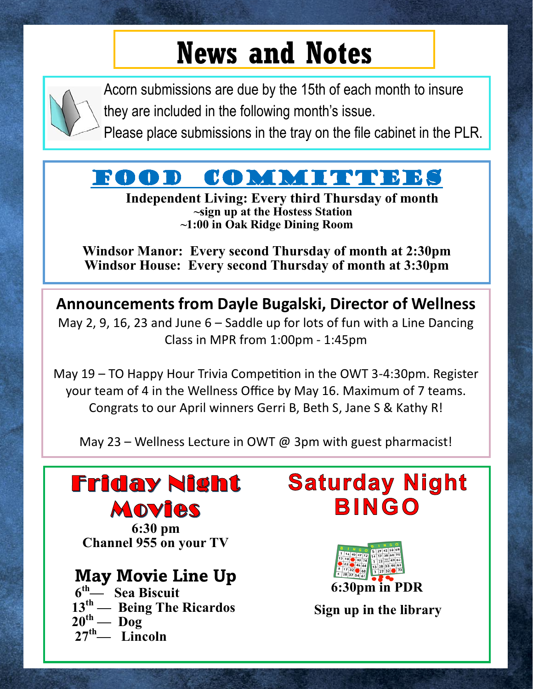# **News and Notes**



Acorn submissions are due by the 15th of each month to insure they are included in the following month's issue.

Please place submissions in the tray on the file cabinet in the PLR.

### FOOD COMMITTEES

**Independent Living: Every third Thursday of month ~sign up at the Hostess Station ~1:00 in Oak Ridge Dining Room**

**Windsor Manor: Every second Thursday of month at 2:30pm Windsor House: Every second Thursday of month at 3:30pm**

**Announcements from Dayle Bugalski, Director of Wellness** May 2, 9, 16, 23 and June 6 – Saddle up for lots of fun with a Line Dancing Class in MPR from 1:00pm - 1:45pm

May  $19$  – TO Happy Hour Trivia Competition in the OWT 3-4:30pm. Register your team of 4 in the Wellness Office by May 16. Maximum of 7 teams. Congrats to our April winners Gerri B, Beth S, Jane S & Kathy R!

May 23 – Wellness Lecture in OWT  $\omega$  3pm with guest pharmacist!



**6:30 pm Channel 955 on your TV**

### **May Movie Line Up**

**th— Sea Biscuit th — Being The Ricardos**  $20^{th}$  — Dog **th— Lincoln** 

### **Saturday Night BINGO**



**Sign up in the library**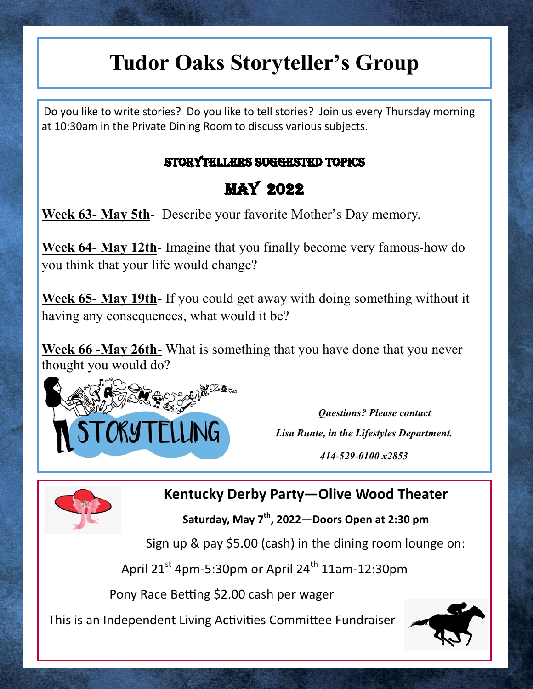### **Tudor Oaks Storyteller's Group**

Do you like to write stories? Do you like to tell stories? Join us every Thursday morning at 10:30am in the Private Dining Room to discuss various subjects.

#### STORYTELLERS SUGGESTED TOPICS

### **MAY 2022**

**Week 63- May 5th**- Describe your favorite Mother's Day memory.

**Week 64- May 12th**- Imagine that you finally become very famous-how do you think that your life would change?

**Week 65- May 19th-** If you could get away with doing something without it having any consequences, what would it be?

**Week 66 -May 26th-** What is something that you have done that you never thought you would do?



 *Questions? Please contact Lisa Runte, in the Lifestyles Department.* 

*414-529-0100 x2853*



**Kentucky Derby Party—Olive Wood Theater**

Saturday, May 7<sup>th</sup>, 2022—Doors Open at 2:30 pm

Sign up & pay \$5.00 (cash) in the dining room lounge on:

April 21st 4pm-5:30pm or April 24<sup>th</sup> 11am-12:30pm

Pony Race Betting \$2.00 cash per wager

This is an Independent Living Activities Committee Fundraiser